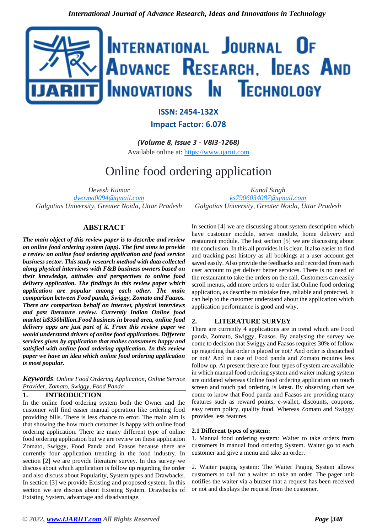

## **ISSN: 2454-132X Impact Factor: 6.078**

*(Volume 8, Issue 3 - V8I3-1268)* Available online at: [https://www.ijariit.com](https://www.ijariit.com/?utm_source=pdf&utm_medium=edition&utm_campaign=OmAkSols&utm_term=V8I3-1268)

# Online food ordering application

*Devesh Kumar [dverma0094@gmail.com](mailto:dverma0094@gmail.com) Galgotias University, Greater Noida, Uttar Pradesh*

## **ABSTRACT**

*The main object of this review paper is to describe and review on online food ordering system (app). The first aims to provide a review on online food ordering application and food service business sector. This study research method with data collected along physical interviews with F&B business owners based on their knowledge, attitudes and perspectives to online food delivery application. The findings in this review paper which application are popular among each other. The main comparison between Food panda, Swiggy, Zomato and Faasos. There are comparison behalf on internet, physical interviews and past literature review. Currently Indian Online food market is\$350billion.Food business in broad area, online food delivery apps are just part of it. From this review paper we would understand drivers of online food applications. Different services given by application that makes consumers happy and satisfied with online food ordering application. In this review paper we have an idea which online food ordering application is most popular.*

*Keywords*: *Online Food Ordering Application, Online Service Provider, Zomato, Swiggy, Food Panda*

## **1. INTRODUCTION**

In the online food ordering system both the Owner and the customer will find easier manual operation like ordering food providing bills. There is less chance to error. The main aim is that showing the how much customer is happy with online food ordering application. There are many different type of online food ordering application but we are review on these application Zomato, Swiggy, Food Panda and Faasos because there are currently four application trending in the food industry. In section [2] we are provide literature survey. In this survey we discuss about which application is follow up regarding the order and also discuss about Popularity, System types and Drawbacks. In section [3] we provide Existing and proposed system. In this section we are discuss about Existing System, Drawbacks of Existing System, advantage and disadvantage.

*Kunal Singh [ks7906034087@gmail.com](mailto:ks7906034087@gmail.com) Galgotias University, Greater Noida, Uttar Pradesh*

In section [4] we are discussing about system description which have customer module, server module, home delivery and restaurant module. The last section [5] we are discussing about the conclusion. In this all provides it is clear. It also easier to find and tracking past history as all bookings at a user account get saved easily. Also provide the feedbacks and recorded from each user account to get deliver better services. There is no need of the restaurant to take the orders on the call. Customers can easily scroll menus, add more orders to order list. Online food ordering application, as describe to mistake free, reliable and protected. It can help to the customer understand about the application which application performance is good and why.

## **2. LITERATURE SURVEY**

There are currently 4 applications are in trend which are Food panda, Zomato, Swiggy, Faasos. By analysing the survey we come to decision that Swiggy and Faasos requires 30% of follow up regarding that order is placed or not? And order is dispatched or not? And in case of Food panda and Zomato requires less follow up. At present there are four types of system are available in which manual food ordering system and waiter making system are outdated whereas Online food ordering application on touch screen and touch pad ordering is latest. By observing chart we come to know that Food panda and Faasos are providing many features such as reward points, e-wallet, discounts, coupons, easy return policy, quality food. Whereas Zomato and Swiggy provides less features.

#### **2.1 Different types of system:**

1. Manual food ordering system: Waiter to take orders from customers in manual food ordering System. Waiter go to each customer and give a menu and take an order.

2. Waiter paging system: The Waiter Paging System allows customers to call for a waiter to take an order. The pager unit notifies the waiter via a buzzer that a request has been received or not and displays the request from the customer.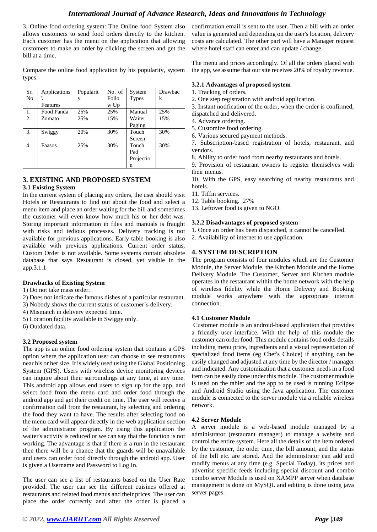## *International Journal of Advance Research, Ideas and Innovations in Technology*

3. Online food ordering system: The Online food System also allows customers to send food orders directly to the kitchen. Each customer has the menu on the application that allowing customers to make an order by clicking the screen and get the bill at a time.

Compare the online food application by his popularity, system types.

| Sr. | Applications | Popularit | No. of | System       | <b>Drawbac</b> |
|-----|--------------|-----------|--------|--------------|----------------|
| No  |              | y         | Follo  | <b>Types</b> | k              |
|     | Features     |           | w Up   |              |                |
| 1.  | Food Panda   | 25%       | 25%    | Manual       | 25%            |
| 2.  | Zomato       | 25%       | 15%    | Waiter       | 15%            |
|     |              |           |        | Paging       |                |
| 3.  | Swiggy       | 20%       | 30%    | Touch        | 30%            |
|     |              |           |        | Screen       |                |
| 4.  | Faasos       | 25%       | 30%    | Touch        | 30%            |
|     |              |           |        | Pad          |                |
|     |              |           |        | Projectio    |                |
|     |              |           |        | n            |                |

## **3. EXISTING AND PROPOSED SYSTEM**

#### **3.1 Existing System**

In the current system of placing any orders, the user should visit Hotels or Restaurants to find out about the food and select a menu item and place an order waiting for the bill and sometimes the customer will even know how much his or her debt was. Storing important information in files and manuals is fraught with risks and tedious processes. Delivery tracking is not available for previous applications. Early table booking is also available with previous applications. Current order status, Custom Order is not available. Some systems contain obsolete database that says Restaurant is closed, yet visible in the app.3.1.1

## **Drawbacks of Existing System**

- 1) Do not take mass order.
- 2) Does not indicate the famous dishes of a particular restaurant.
- 3) Nobody shows the current status of customer's delivery.
- 4) Mismatch in delivery expected time.
- 5) Location facility available in Swiggy only.
- 6) Outdated data.

## **3.2 Proposed system**

The app is an online food ordering system that contains a GPS option where the application user can choose to see restaurants near his or her size. It is widely used using the Global Positioning System (GPS). Users with wireless device monitoring devices can inquire about their surroundings at any time, at any time. This android app allows end users to sign up for the app, and select food from the menu card and order food through the android app and get their credit on time. The user will receive a confirmation call from the restaurant, by selecting and ordering the food they want to have. The results after selecting food on the menu card will appear directly in the web application section of the administrator program. By using this application the waiter's activity is reduced or we can say that the function is not working. The advantage is that if there is a run in the restaurant then there will be a chance that the guards will be unavailable and users can order food directly through the android app. User is given a Username and Password to Log In.

The user can see a list of restaurants based on the User Rate provided. The user can see the different cuisines offered at restaurants and related food menus and their prices. The user can place the order correctly and after the order is placed a

confirmation email is sent to the user. Then a bill with an order value is generated and depending on the user's location, delivery costs are calculated. The other part will have a Manager request where hotel staff can enter and can update / change

The menu and prices accordingly. Of all the orders placed with the app, we assume that our site receives 20% of royalty revenue.

#### **3.2.1 Advantages of proposed system**

- 1. Tracking of orders.
- 2. One step registration with android application.

3. Instant notification of the order, when the order is confirmed, dispatched and delivered.

- 4. Advance ordering.
- 5. Customize food ordering.
- 6. Various secured payment methods.

7. Subscription-based registration of hotels, restaurant, and vendors.

8. Ability to order food from nearby restaurants and hotels.

9. Provision of restaurant owners to register themselves with their menus.

10. With the GPS, easy searching of nearby restaurants and hotels.

- 11. Tiffin services.
- 12. Table booking. 27%
- 13. Leftover food is given to NGO.

#### **3.2.2 Disadvantages of proposed system**

- 1. Once an order has been dispatched, it cannot be cancelled.
- 2. Availability of internet to use application.

## **4. SYSTEM DESCRIPTION**

The program consists of four modules which are the Customer Module, the Server Module, the Kitchen Module and the Home Delivery Module. The Customer, Server and Kitchen module operates in the restaurant within the home network with the help of wireless fidelity while the Home Delivery and Booking module works anywhere with the appropriate internet connection.

#### **4.1 Customer Module**

Customer module is an android-based application that provides a friendly user interface. With the help of this module the customer can order food. This module contains food order details including menu price, ingredients and a visual representation of specialized food items (eg Chef's Choice) if anything can be easily changed and adjusted at any time by the director / manager and indicated. Any customization that a customer needs in a food item can be easily done under this module. The customer module is used on the tablet and the app to be used is running Eclipse and Android Studio using the Java application. The customer module is connected to the server module via a reliable wireless network.

## **4.2 Server Module**

A server module is a web-based module managed by a administrator (restaurant manager) to manage a website and control the entire system. Here all the details of the item ordered by the customer, the order time, the bill amount, and the status of the bill etc. are stored. And the administrator can add and modify menus at any time (e.g. Special Today), its prices and advertise specific feeds including special discount and combo combo server Module is used on XAMPP server when database management is done on MySQL and editing is done using java server pages.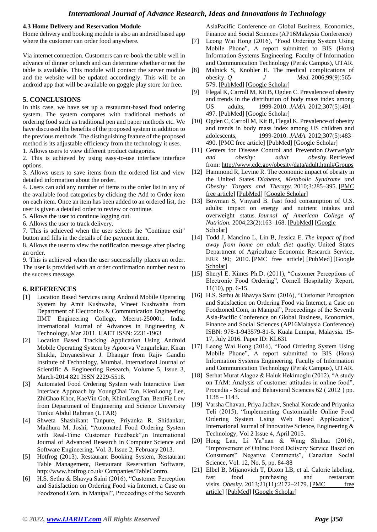## *International Journal of Advance Research, Ideas and Innovations in Technology*

#### **4.3 Home Delivery and Reservation Module**

Home delivery and booking module is also an android based app where the customer can order food anywhere.

Via internet connection. Customers can re-book the table well in advance of dinner or lunch and can determine whether or not the table is available. This module will contact the server module and the website will be updated accordingly. This will be an android app that will be available on goggle play store for free.

## **5. CONCLUSIONS**

In this case, we have set up a restaurant-based food ordering system. The system compares with traditional methods of ordering food such as traditional pen and paper methods etc. We have discussed the benefits of the proposed system in addition to the previous methods. The distinguishing feature of the proposed method is its adjustable efficiency from the technology it uses. 1. Allows users to view different product categories.

2. This is achieved by using easy-to-use interface interface options.

3. Allows users to save items from the ordered list and view detailed information about the order.

4. Users can add any number of items to the order list in any of the available food categories by clicking the Add to Order item on each item. Once an item has been added to an ordered list, the user is given a detailed order to review or continue.

- 5. Allows the user to continue logging out.
- 6. Allows the user to track delivery.

7. This is achieved when the user selects the "Continue exit" button and fills in the details of the payment item.

8. Allows the user to view the notification message after placing an order.

9. This is achieved when the user successfully places an order. The user is provided with an order confirmation number next to the success message.

#### **6. REFERENCES**

- [1] Location Based Services using Android Mobile Operating System by Amit Kushwaha, Vineet Kushwaha from Department of Electronics & Communication Engineering IIMT Engineering College, Meerut-250001, India. International Journal of Advances in Engineering & Technology, Mar 2011. IJAET ISSN: 2231-1963
- [2] Location Based Tracking Application Using Android Mobile Operating System by Apoorva Vengurlekar, Kiran Shukla, Dnyaneshwar J. Dhangar from Rajiv Gandhi Institute of Technology, Mumbai. International Journal of Scientific & Engineering Research, Volume 5, Issue 3, March-2014 821 ISSN 2229-5518.
- [3] Automated Food Ordering System with Interactive User Interface Approach by YoungChai Tan, KienLoong Lee, ZhiChao Khor, KaeVin Goh, KhimLengTan, BentFie Lew from Department of Engineering and Science University Tunku Abdul Rahman (UTAR)
- [4] Shweta Shashikant Tanpure, Priyanka R. Shidankar, Madhura M. Joshi, "Automated Food Ordering System with Real-Time Customer Feedback",in International Journal of Advanced Research in Computer Science and Software Engineering, Vol. 3, Issue 2, February 2013.
- [5] Hotfrog (2013). Restaurant Booking System, Restaurant Table Management, Restaurant Reservation Software, http://www.hotfrog.co.uk/ Companies/TableContro.
- [6] H.S. Sethu & Bhavya Saini (2016), "Customer Perception and Satisfaction on Ordering Food via Internet, a Case on Foodzoned.Com, in Manipal", Proceedings of the Seventh

AsiaPacific Conference on Global Business, Economics, Finance and Social Sciences (AP16Malaysia Conference)

- [7] Leong Wai Hong (2016), "Food Ordering System Using Mobile Phone", A report submitted to BIS (Hons) Information Systems Engineering. Faculty of Information and Communication Technology (Perak Campus), UTAR.
- [8] Malnick S, Knobler H. The medical complications of obesity. *Q J Med.* 2006;99(9):565– 579. [\[PubMed\]](https://www.ncbi.nlm.nih.gov/pubmed/16916862) [\[Google Scholar\]](https://scholar.google.com/scholar_lookup?journal=Q+J+Med&title=The+medical+complications+of+obesity.&author=S+Malnick&author=H+Knobler&volume=99&issue=9&publication_year=2006&pages=565-579&)
- [9] Flegal K, Carroll M, Kit B, Ogden C. Prevalence of obesity and trends in the distribution of body mass index among US adults, 1999-2010. *JAMA.* 2012;307(5):491– 497. [\[PubMed\]](https://www.ncbi.nlm.nih.gov/pubmed/22253363) [\[Google Scholar\]](https://scholar.google.com/scholar_lookup?journal=JAMA&title=Prevalence+of+obesity+and+trends+in+the+distribution+of+body+mass+index+among+US+adults,+1999-2010.&author=K+Flegal&author=M+Carroll&author=B+Kit&author=C+Ogden&volume=307&issue=5&publication_year=2012&pages=491-497&pmid=22253363&)
- [10] Ogden C, Carroll M, Kit B, Flegal K. Prevalence of obesity and trends in body mass index among US children and adolescents, 1999-2010. *JAMA.* 2012;307(5):483– 490. [\[PMC free article\]](https://www.ncbi.nlm.nih.gov/pmc/articles/PMC6362452/) [\[PubMed\]](https://www.ncbi.nlm.nih.gov/pubmed/22253364) [\[Google Scholar\]](https://scholar.google.com/scholar_lookup?journal=JAMA&title=Prevalence+of+obesity+and+trends+in+body+mass+index+among+US+children+and+adolescents,+1999-2010.&author=C+Ogden&author=M+Carroll&author=B+Kit&author=K+Flegal&volume=307&issue=5&publication_year=2012&pages=483-490&pmid=22253364&)
- [11] Centers for Disease Control and Prevention *Overweight and obesity: adult obesity.* Retrieved from: <http://www.cdc.gov/obesity/data/adult.html#Groups>
- [12] Hammond R, Levine R. The economic impact of obesity in the United States. *Diabetes, Metabolic Syndrome and Obesity: Targets and Therapy.* 2010;3:285–395. [\[PMC](https://www.ncbi.nlm.nih.gov/pmc/articles/PMC3047996/)  [free article\]](https://www.ncbi.nlm.nih.gov/pmc/articles/PMC3047996/) [\[PubMed\]](https://www.ncbi.nlm.nih.gov/pubmed/21437097) [\[Google Scholar\]](https://scholar.google.com/scholar_lookup?journal=Diabetes,+Metabolic+Syndrome+and+Obesity:+Targets+and+Therapy&title=The+economic+impact+of+obesity+in+the+United+States.&author=R+Hammond&author=R+Levine&volume=3&publication_year=2010&pages=285-395&)
- [13] Bowman S, Vinyard B. Fast food consumption of U.S. adults: impact on energy and nutrient intakes and overweight status. *Journal of American College of Nutrition.* 2004;23(2):163–168. [\[PubMed\]](https://www.ncbi.nlm.nih.gov/pubmed/15047683) [\[Google](https://scholar.google.com/scholar_lookup?journal=Journal+of+American+College+of+Nutrition&title=Fast+food+consumption+of+U.S.+adults:+impact+on+energy+and+nutrient+intakes+and+overweight+status.&author=S+Bowman&author=B+Vinyard&volume=23&issue=2&publication_year=2004&pages=163-168&)  [Scholar\]](https://scholar.google.com/scholar_lookup?journal=Journal+of+American+College+of+Nutrition&title=Fast+food+consumption+of+U.S.+adults:+impact+on+energy+and+nutrient+intakes+and+overweight+status.&author=S+Bowman&author=B+Vinyard&volume=23&issue=2&publication_year=2004&pages=163-168&)
- [14] Todd J, Mancino L, Lin B, Jessica E. *The impact of food away from home on adult diet quality.* United States Department of Agriculture Economic Research Service, ERR 90; 2010. [\[PMC free article\]](https://www.ncbi.nlm.nih.gov/pmc/articles/PMC3183595/) [\[PubMed\]](https://www.ncbi.nlm.nih.gov/pubmed/22332086) [Google [Scholar\]](https://scholar.google.com/scholar_lookup?title=The+impact+of+food+away+from+home+on+adult+diet+quality&author=J+Todd&author=L+Mancino&author=B+Lin&author=E+Jessica&publication_year=2010&)
- [15] Sheryl E. Kimes Ph.D. (2011), "Customer Perceptions of Electronic Food Ordering", Cornell Hospitality Report, 11(10), pp. 6-15.
- [16] H.S. Sethu & Bhavya Saini (2016), "Customer Perception and Satisfaction on Ordering Food via Internet, a Case on Foodzoned.Com, in Manipal", Proceedings of the Seventh Asia-Pacific Conference on Global Business, Economics, Finance and Social Sciences (AP16Malaysia Conference) ISBN: 978-1-943579-81-5. Kuala Lumpur, Malaysia. 15- 17, July 2016. Paper ID: KL631
- [17] Leong Wai Hong (2016), "Food Ordering System Using Mobile Phone", A report submitted to BIS (Hons) Information Systems Engineering. Faculty of Information and Communication Technology (Perak Campus), UTAR.
- [18] Serhat Murat Alagoz & Haluk Hekimoglu (2012), "A study on TAM: Analysis of customer attitudes in online food", Procedia - Social and Behavioral Sciences 62 ( 2012 ) pp. 1138 – 1143.
- [19] Varsha Chavan, Priya Jadhav, Snehal Korade and Priyanka Teli (2015), "Implementing Customizable Online Food Ordering System Using Web Based Application", International Journal of Innovative Science, Engineering & Technology, Vol 2 Issue 4, April 2015.
- [20] Hong Lan, Li Ya"nan & Wang Shuhua (2016), "Improvement of Online Food Delivery Service Based on Consumers" Negative Comments", Canadian Social Science, Vol. 12, No. 5, pp. 84-88
- [21] Elbel B, Mijanovich T, Dixon LB, et al. Calorie labeling, fast food purchasing and restaurant visits. *Obesity*. 2013;21(11):2172-2179. [PMC free [article\]](https://www.ncbi.nlm.nih.gov/pmc/articles/PMC3947482/) [\[PubMed\]](https://www.ncbi.nlm.nih.gov/pubmed/24136905) [\[Google Scholar\]](https://scholar.google.com/scholar_lookup?journal=Obesity&title=Calorie+labeling,+fast+food+purchasing+and+restaurant+visits.&author=B+Elbel&author=T+Mijanovich&author=LB+Dixon&volume=21&issue=11&publication_year=2013&pages=2172-2179&pmid=24136905&)